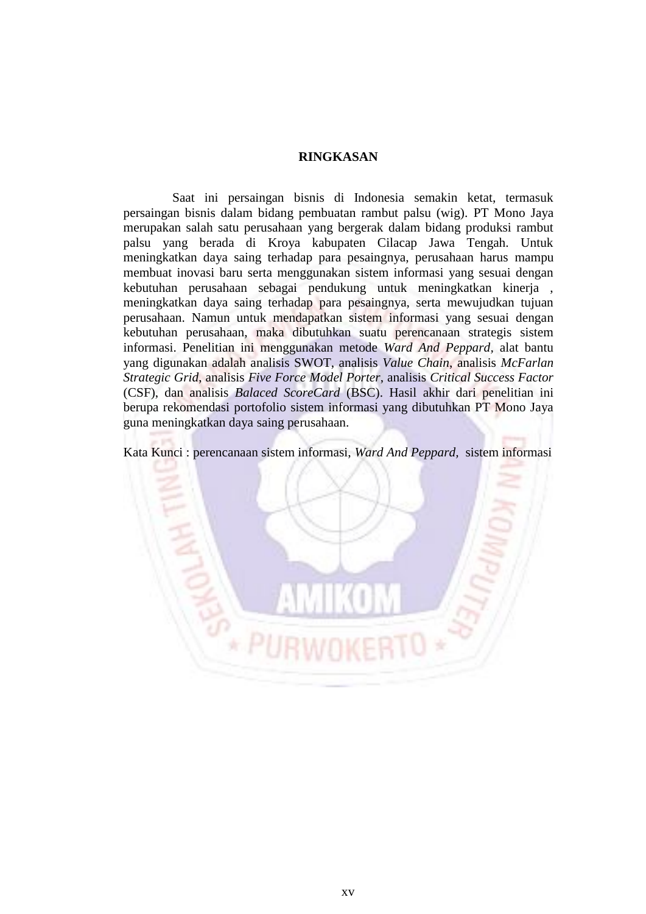## **RINGKASAN**

 Saat ini persaingan bisnis di Indonesia semakin ketat, termasuk persaingan bisnis dalam bidang pembuatan rambut palsu (wig). PT Mono Jaya merupakan salah satu perusahaan yang bergerak dalam bidang produksi rambut palsu yang berada di Kroya kabupaten Cilacap Jawa Tengah. Untuk meningkatkan daya saing terhadap para pesaingnya, perusahaan harus mampu membuat inovasi baru serta menggunakan sistem informasi yang sesuai dengan kebutuhan perusahaan sebagai pendukung untuk meningkatkan kinerja , meningkatkan daya saing terhadap para pesaingnya, serta mewujudkan tujuan perusahaan. Namun untuk mendapatkan sistem informasi yang sesuai dengan kebutuhan perusahaan, maka dibutuhkan suatu perencanaan strategis sistem informasi. Penelitian ini menggunakan metode *Ward And Peppard,* alat bantu yang digunakan adalah analisis SWOT, analisis *Value Chain*, analisis *McFarlan Strategic Grid*, analisis *Five Force Model Porter*, analisis *Critical Success Factor* (CSF), dan analisis *Balaced ScoreCard* (BSC). Hasil akhir dari penelitian ini berupa rekomendasi portofolio sistem informasi yang dibutuhkan PT Mono Jaya guna meningkatkan daya saing perusahaan.

Kata Kunci : perencanaan sistem informasi, *Ward And Peppard,* sistem informasi